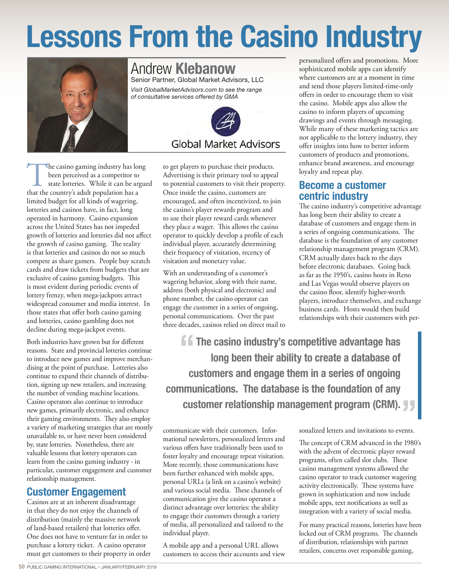# Lessons From the Casino Industry



#### Andrew Klebanow Senior Partner, Global Market Advisors, LLC

*Visit GlobalMarketAdvisors.com to see the range of consultative services offered by GMA* 



The casino gaming industry has long<br>been perceived as a competitor to<br>state lotteries. While it can be argue<br>that the country's adult population has a been perceived as a competitor to state lotteries. While it can be argued limited budget for all kinds of wagering, lotteries and casinos have, in fact, long operated in harmony. Casino expansion across the United States has not impeded growth of lotteries and lotteries did not affect the growth of casino gaming. The reality is that lotteries and casinos do not so much compete as share gamers. People buy scratch cards and draw tickets from budgets that are exclusive of casino gaming budgets. This is most evident during periodic events of lottery frenzy, when mega-jackpots attract widespread consumer and media interest. In those states that offer both casino gaming and lotteries, casino gambling does not decline during mega-jackpot events.

Both industries have grown but for different reasons. State and provincial lotteries continue to introduce new games and improve merchandising at the point of purchase. Lotteries also continue to expand their channels of distribution, signing up new retailers, and increasing the number of vending machine locations. Casino operators also continue to introduce new games, primarily electronic, and enhance their gaming environments. They also employ a variety of marketing strategies that are mostly unavailable to, or have never been considered by, state lotteries. Nonetheless, there are valuable lessons that lottery operators can learn from the casino gaming industry - in particular, customer engagement and customer relationship management.

# Customer Engagement

Casinos are at an inherent disadvantage in that they do not enjoy the channels of distribution (mainly the massive network of land-based retailers) that lotteries offer. One does not have to venture far in order to purchase a lottery ticket. A casino operator must get customers to their property in order to get players to purchase their products. Advertising is their primary tool to appeal to potential customers to visit their property. Once inside the casino, customers are encouraged, and often incentivized, to join the casino's player rewards program and to use their player reward cards whenever they place a wager. This allows the casino operator to quickly develop a profile of each individual player, accurately determining their frequency of visitation, recency of visitation and monetary value.

With an understanding of a customer's wagering behavior, along with their name, address (both physical and electronic) and phone number, the casino operator can engage the customer in a series of ongoing, personal communications. Over the past three decades, casinos relied on direct mail to personalized offers and promotions. More sophisticated mobile apps can identify where customers are at a moment in time and send those players limited-time-only offers in order to encourage them to visit the casino. Mobile apps also allow the casino to inform players of upcoming drawings and events through messaging. While many of these marketing tactics are not applicable to the lottery industry, they offer insights into how to better inform customers of products and promotions, enhance brand awareness, and encourage loyalty and repeat play.

# Become a customer centric industry

The casino industry's competitive advantage has long been their ability to create a database of customers and engage them in a series of ongoing communications. The database is the foundation of any customer relationship management program (CRM). CRM actually dates back to the days before electronic databases. Going back as far as the 1950's, casino hosts in Reno and Las Vegas would observe players on the casino floor, identify higher-worth players, introduce themselves, and exchange business cards. Hosts would then build relationships with their customers with per-

**f f** The casino industry's competitive advantage has<br>long been their ability to create a database of long been their ability to create a database of customers and engage them in a series of ongoing communications. The database is the foundation of any **Customer relationship management program (CRM).**<br>
The customers Informational consider and invitations to events

communicate with their customers. Infor mational newsletters, personalized letters and various offers have traditionally been used to foster loyalty and encourage repeat visitation. More recently, those communications have been further enhanced with mobile apps, personal URLs (a link on a casino's website) and various social media. These channels of communication give the casino operator a distinct advantage over lotteries: the ability to engage their customers through a variety of media, all personalized and tailored to the individual player.

A mobile app and a personal URL allows customers to access their accounts and view sonalized letters and invitations to events.

The concept of CRM advanced in the 1980's with the advent of electronic player reward programs, often called slot clubs. These casino management systems allowed the casino operator to track customer wagering activity electronically. These systems have grown in sophistication and now include mobile apps, text notifications as well as integration with a variety of social media.

For many practical reasons, lotteries have been locked out of CRM programs. The channels of distribution, relationships with partner retailers, concerns over responsible gaming,